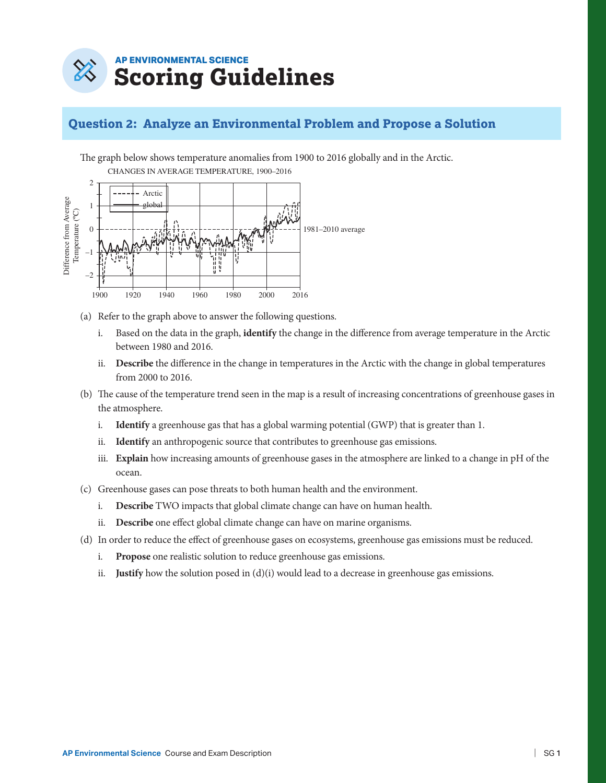

## **Question 2: Analyze an Environmental Problem and Propose a Solution**



- (a) Refer to the graph above to answer the following questions.
	- i. Based on the data in the graph, **identify** the change in the difference from average temperature in the Arctic between 1980 and 2016.
	- ii. Describe the difference in the change in temperatures in the Arctic with the change in global temperatures from 2000 to 2016.
- (b) The cause of the temperature trend seen in the map is a result of increasing concentrations of greenhouse gases in the atmosphere.
	- i. **Identify** a greenhouse gas that has a global warming potential (GWP) that is greater than 1.
	- ii. **Identify** an anthropogenic source that contributes to greenhouse gas emissions.
	- iii. **Explain** how increasing amounts of greenhouse gases in the atmosphere are linked to a change in pH of the ocean.
- (c) Greenhouse gases can pose threats to both human health and the environment.
	- i. **Describe** TWO impacts that global climate change can have on human health.
	- ii. **Describe** one effect global climate change can have on marine organisms.
- (d) In order to reduce the effect of greenhouse gases on ecosystems, greenhouse gas emissions must be reduced.
	- i. **Propose** one realistic solution to reduce greenhouse gas emissions.
	- ii. **Justify** how the solution posed in  $(d)(i)$  would lead to a decrease in greenhouse gas emissions.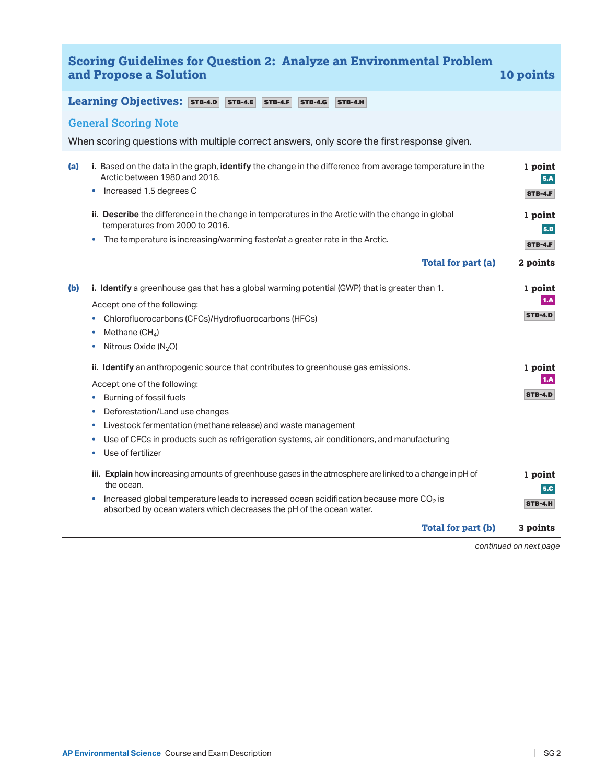## **Scoring Guidelines for Question 2: Analyze an Environmental Problem and Propose a Solution 10 points in the contract of the contract of the contract of the contract of the contract of the contract of the contract of the contract of the contract of the contract of the contract of the contr**

|     | <b>Learning Objectives: STB-4.D</b><br><b>STB-4.E</b><br><b>STB-4.F</b><br><b>STB-4.G</b><br><b>STB-4.H</b>                                                                                                                                                                                                                                                         |                                  |
|-----|---------------------------------------------------------------------------------------------------------------------------------------------------------------------------------------------------------------------------------------------------------------------------------------------------------------------------------------------------------------------|----------------------------------|
|     | <b>General Scoring Note</b>                                                                                                                                                                                                                                                                                                                                         |                                  |
|     | When scoring questions with multiple correct answers, only score the first response given.                                                                                                                                                                                                                                                                          |                                  |
| (a) | i. Based on the data in the graph, identify the change in the difference from average temperature in the<br>Arctic between 1980 and 2016.<br>Increased 1.5 degrees C                                                                                                                                                                                                | 1 point<br>5.A<br><b>STB-4.F</b> |
|     | ii. Describe the difference in the change in temperatures in the Arctic with the change in global<br>temperatures from 2000 to 2016.<br>The temperature is increasing/warming faster/at a greater rate in the Arctic.                                                                                                                                               | 1 point<br>5.B<br><b>STB-4.F</b> |
|     | Total for part (a)                                                                                                                                                                                                                                                                                                                                                  | 2 points                         |
| (b) | i. Identify a greenhouse gas that has a global warming potential (GWP) that is greater than 1.<br>Accept one of the following:<br>Chlorofluorocarbons (CFCs)/Hydrofluorocarbons (HFCs)<br>Methane $(CH_4)$<br>Nitrous Oxide ( $N_2$ O)                                                                                                                              | 1 point<br>1.A<br><b>STB-4.D</b> |
|     | ii. Identify an anthropogenic source that contributes to greenhouse gas emissions.<br>Accept one of the following:<br>Burning of fossil fuels<br>Deforestation/Land use changes<br>Livestock fermentation (methane release) and waste management<br>Use of CFCs in products such as refrigeration systems, air conditioners, and manufacturing<br>Use of fertilizer | 1 point<br>1.A<br><b>STB-4.D</b> |
|     | iii. Explain how increasing amounts of greenhouse gases in the atmosphere are linked to a change in pH of<br>the ocean.<br>Increased global temperature leads to increased ocean acidification because more $CO2$ is<br>absorbed by ocean waters which decreases the pH of the ocean water.                                                                         | 1 point<br>5.C<br><b>STB-4.H</b> |
|     | Total for part (b)                                                                                                                                                                                                                                                                                                                                                  | 3 points                         |
|     |                                                                                                                                                                                                                                                                                                                                                                     |                                  |

*continued on next page*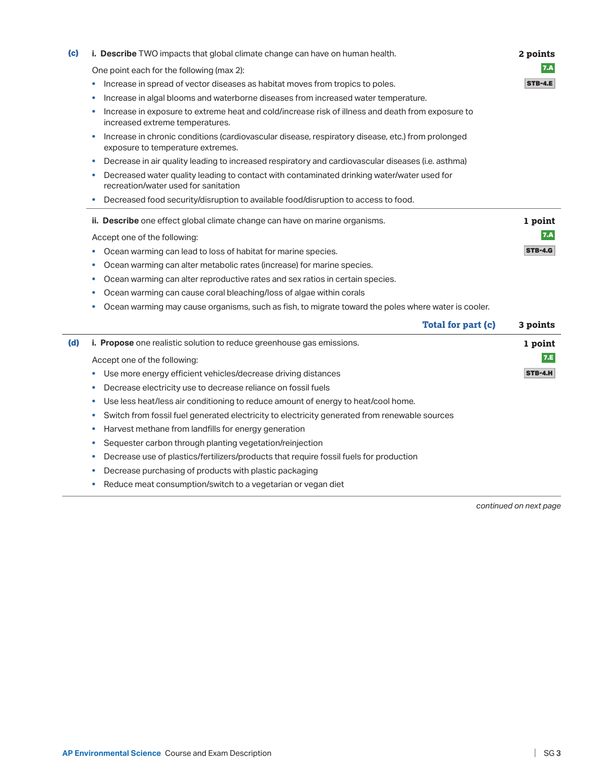| (c) | i. Describe TWO impacts that global climate change can have on human health.                                                                | 2 points       |
|-----|---------------------------------------------------------------------------------------------------------------------------------------------|----------------|
|     | One point each for the following (max 2):                                                                                                   | 7.A            |
|     | Increase in spread of vector diseases as habitat moves from tropics to poles.<br>٠                                                          | <b>STB-4.E</b> |
|     | Increase in algal blooms and waterborne diseases from increased water temperature.                                                          |                |
|     | Increase in exposure to extreme heat and cold/increase risk of illness and death from exposure to<br>increased extreme temperatures.        |                |
|     | Increase in chronic conditions (cardiovascular disease, respiratory disease, etc.) from prolonged<br>۰<br>exposure to temperature extremes. |                |
|     | Decrease in air quality leading to increased respiratory and cardiovascular diseases (i.e. asthma)<br>٠                                     |                |
|     | Decreased water quality leading to contact with contaminated drinking water/water used for<br>۰<br>recreation/water used for sanitation     |                |
|     | Decreased food security/disruption to available food/disruption to access to food.<br>$\bullet$                                             |                |
|     | ii. Describe one effect global climate change can have on marine organisms.                                                                 | 1 point        |
|     | Accept one of the following:                                                                                                                | 7.A            |
|     | Ocean warming can lead to loss of habitat for marine species.<br>۰                                                                          | <b>STB-4.G</b> |
|     | Ocean warming can alter metabolic rates (increase) for marine species.<br>٠                                                                 |                |
|     | Ocean warming can alter reproductive rates and sex ratios in certain species.                                                               |                |
|     | Ocean warming can cause coral bleaching/loss of algae within corals<br>۰                                                                    |                |
|     | Ocean warming may cause organisms, such as fish, to migrate toward the poles where water is cooler.<br>۰                                    |                |
|     | Total for part (c)                                                                                                                          | 3 points       |
| (d) | i. Propose one realistic solution to reduce greenhouse gas emissions.                                                                       | 1 point        |
|     | Accept one of the following:                                                                                                                | 7.E            |
|     | Use more energy efficient vehicles/decrease driving distances<br>٠                                                                          | <b>STB-4.H</b> |
|     | Decrease electricity use to decrease reliance on fossil fuels<br>٠                                                                          |                |
|     | Use less heat/less air conditioning to reduce amount of energy to heat/cool home.<br>۰                                                      |                |
|     | Switch from fossil fuel generated electricity to electricity generated from renewable sources<br>۰                                          |                |
|     | Harvest methane from landfills for energy generation                                                                                        |                |
|     | Sequester carbon through planting vegetation/reinjection<br>$\bullet$                                                                       |                |
|     | Decrease use of plastics/fertilizers/products that require fossil fuels for production                                                      |                |
|     | Decrease purchasing of products with plastic packaging                                                                                      |                |

**•** Reduce meat consumption/switch to a vegetarian or vegan diet

*continued on next page*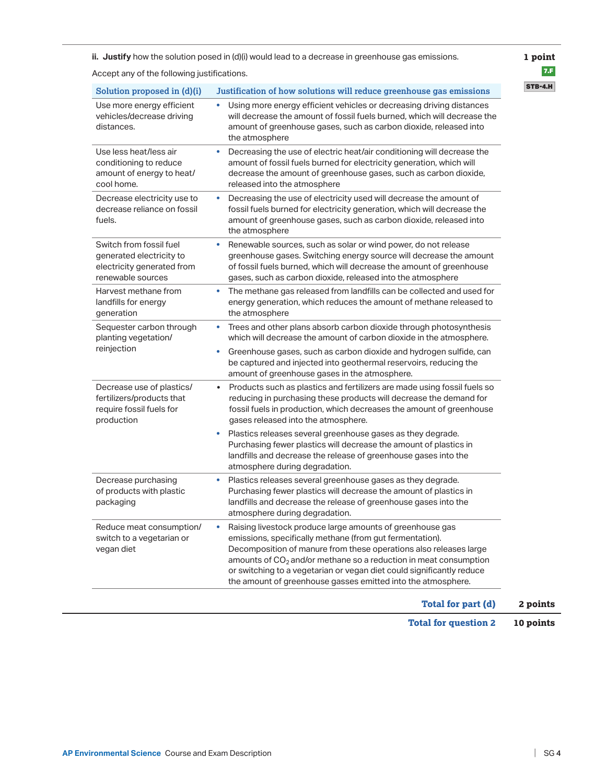**ii. Justify** how the solution posed in (d)(i) would lead to a decrease in greenhouse gas emissions.

Accept any of the following justifications.

| Solution proposed in (d)(i)                                                                            | Justification of how solutions will reduce greenhouse gas emissions                                                                                                                                                                                                                                                                                                                                            |  |  |
|--------------------------------------------------------------------------------------------------------|----------------------------------------------------------------------------------------------------------------------------------------------------------------------------------------------------------------------------------------------------------------------------------------------------------------------------------------------------------------------------------------------------------------|--|--|
| Use more energy efficient<br>vehicles/decrease driving<br>distances.                                   | Using more energy efficient vehicles or decreasing driving distances<br>٠<br>will decrease the amount of fossil fuels burned, which will decrease the<br>amount of greenhouse gases, such as carbon dioxide, released into<br>the atmosphere                                                                                                                                                                   |  |  |
| Use less heat/less air<br>conditioning to reduce<br>amount of energy to heat/<br>cool home.            | Decreasing the use of electric heat/air conditioning will decrease the<br>amount of fossil fuels burned for electricity generation, which will<br>decrease the amount of greenhouse gases, such as carbon dioxide,<br>released into the atmosphere                                                                                                                                                             |  |  |
| Decrease electricity use to<br>decrease reliance on fossil<br>fuels.                                   | Decreasing the use of electricity used will decrease the amount of<br>٠<br>fossil fuels burned for electricity generation, which will decrease the<br>amount of greenhouse gases, such as carbon dioxide, released into<br>the atmosphere                                                                                                                                                                      |  |  |
| Switch from fossil fuel<br>generated electricity to<br>electricity generated from<br>renewable sources | Renewable sources, such as solar or wind power, do not release<br>٠<br>greenhouse gases. Switching energy source will decrease the amount<br>of fossil fuels burned, which will decrease the amount of greenhouse<br>gases, such as carbon dioxide, released into the atmosphere                                                                                                                               |  |  |
| Harvest methane from<br>landfills for energy<br>generation                                             | The methane gas released from landfills can be collected and used for<br>٠<br>energy generation, which reduces the amount of methane released to<br>the atmosphere                                                                                                                                                                                                                                             |  |  |
| Sequester carbon through<br>planting vegetation/<br>reinjection                                        | Trees and other plans absorb carbon dioxide through photosynthesis<br>٠<br>which will decrease the amount of carbon dioxide in the atmosphere.                                                                                                                                                                                                                                                                 |  |  |
|                                                                                                        | Greenhouse gases, such as carbon dioxide and hydrogen sulfide, can<br>٠<br>be captured and injected into geothermal reservoirs, reducing the<br>amount of greenhouse gases in the atmosphere.                                                                                                                                                                                                                  |  |  |
| Decrease use of plastics/<br>fertilizers/products that<br>require fossil fuels for<br>production       | Products such as plastics and fertilizers are made using fossil fuels so<br>reducing in purchasing these products will decrease the demand for<br>fossil fuels in production, which decreases the amount of greenhouse<br>gases released into the atmosphere.                                                                                                                                                  |  |  |
|                                                                                                        | Plastics releases several greenhouse gases as they degrade.<br>٠<br>Purchasing fewer plastics will decrease the amount of plastics in<br>landfills and decrease the release of greenhouse gases into the<br>atmosphere during degradation.                                                                                                                                                                     |  |  |
| Decrease purchasing<br>of products with plastic<br>packaging                                           | Plastics releases several greenhouse gases as they degrade.<br>٠<br>Purchasing fewer plastics will decrease the amount of plastics in<br>landfills and decrease the release of greenhouse gases into the<br>atmosphere during degradation.                                                                                                                                                                     |  |  |
| Reduce meat consumption/<br>switch to a vegetarian or<br>vegan diet                                    | Raising livestock produce large amounts of greenhouse gas<br>٠<br>emissions, specifically methane (from gut fermentation).<br>Decomposition of manure from these operations also releases large<br>amounts of $CO2$ and/or methane so a reduction in meat consumption<br>or switching to a vegetarian or vegan diet could significantly reduce<br>the amount of greenhouse gasses emitted into the atmosphere. |  |  |

**Total for part (d) 2 points** 

**Total for question 2 10 points** 

**1 point**  7.F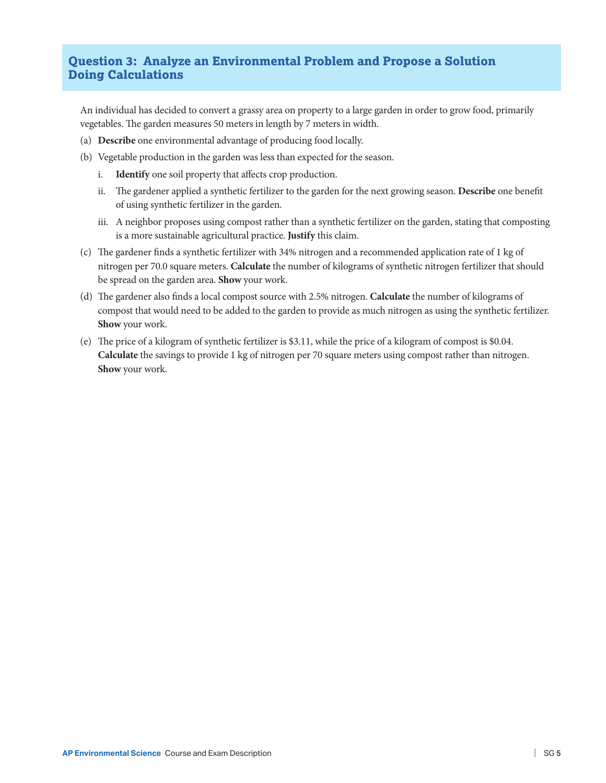## **Question 3: Analyze an Environmental Problem and Propose a Solution Doing Calculations**

An individual has decided to convert a grassy area on property to a large garden in order to grow food, primarily vegetables. The garden measures 50 meters in length by 7 meters in width.

- (a) **Describe** one environmental advantage of producing food locally.
- (b) Vegetable production in the garden was less than expected for the season.
	- i. **Identify** one soil property that affects crop production.
	- ii. The gardener applied a synthetic fertilizer to the garden for the next growing season. **Describe** one benefit of using synthetic fertilizer in the garden.
	- iii. A neighbor proposes using compost rather than a synthetic fertilizer on the garden, stating that composting is a more sustainable agricultural practice. **Justify** this claim.
- (c) The gardener finds a synthetic fertilizer with 34% nitrogen and a recommended application rate of 1 kg of nitrogen per 70.0 square meters. **Calculate** the number of kilograms of synthetic nitrogen fertilizer that should be spread on the garden area. **Show** your work.
- (d) The gardener also finds a local compost source with 2.5% nitrogen. **Calculate** the number of kilograms of compost that would need to be added to the garden to provide as much nitrogen as using the synthetic fertilizer. **Show** your work.
- (e) The price of a kilogram of synthetic fertilizer is \$3.11, while the price of a kilogram of compost is \$0.04. **Calculate** the savings to provide 1 kg of nitrogen per 70 square meters using compost rather than nitrogen. **Show** your work.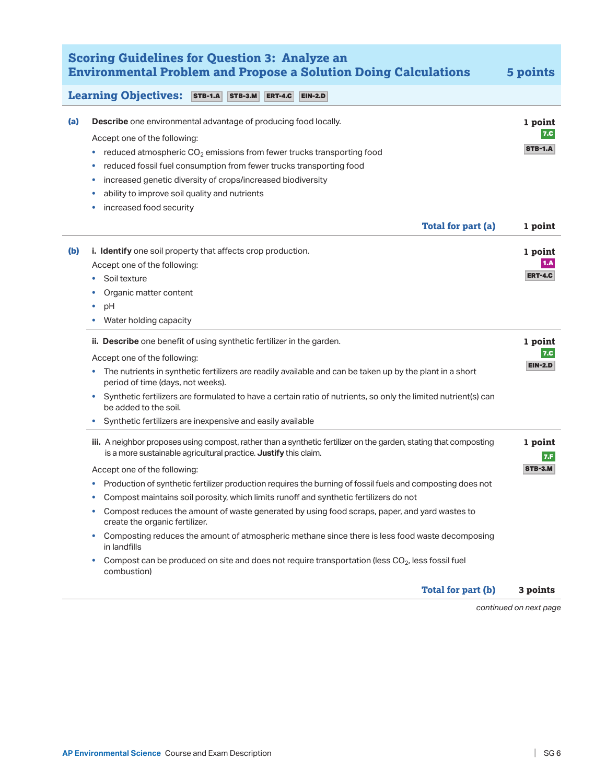| <b>Scoring Guidelines for Question 3: Analyze an</b><br><b>Environmental Problem and Propose a Solution Doing Calculations</b><br>5 points |                                                                                                                                                                                                                                                                                                                                                                                                                                                                                                                                                                                                                                                                                                                                                                                                                                                 |                                             |  |  |  |
|--------------------------------------------------------------------------------------------------------------------------------------------|-------------------------------------------------------------------------------------------------------------------------------------------------------------------------------------------------------------------------------------------------------------------------------------------------------------------------------------------------------------------------------------------------------------------------------------------------------------------------------------------------------------------------------------------------------------------------------------------------------------------------------------------------------------------------------------------------------------------------------------------------------------------------------------------------------------------------------------------------|---------------------------------------------|--|--|--|
| <b>Learning Objectives:</b><br><b>STB-1.A</b><br><b>STB-3.M</b><br><b>ERT-4.C</b><br><b>EIN-2.D</b>                                        |                                                                                                                                                                                                                                                                                                                                                                                                                                                                                                                                                                                                                                                                                                                                                                                                                                                 |                                             |  |  |  |
| (a)                                                                                                                                        | <b>Describe</b> one environmental advantage of producing food locally.<br>Accept one of the following:<br>reduced atmospheric $CO2$ emissions from fewer trucks transporting food<br>$\bullet$<br>reduced fossil fuel consumption from fewer trucks transporting food<br>٠<br>increased genetic diversity of crops/increased biodiversity<br>ability to improve soil quality and nutrients<br>٠<br>increased food security<br>Total for part (a)                                                                                                                                                                                                                                                                                                                                                                                                | 1 point<br>7.C<br><b>STB-1.A</b><br>1 point |  |  |  |
| (b)                                                                                                                                        | i. Identify one soil property that affects crop production.<br>Accept one of the following:<br>Soil texture<br>Organic matter content<br>pH<br>Water holding capacity                                                                                                                                                                                                                                                                                                                                                                                                                                                                                                                                                                                                                                                                           | 1 point<br><b>ERT-4.C</b>                   |  |  |  |
|                                                                                                                                            | ii. Describe one benefit of using synthetic fertilizer in the garden.<br>Accept one of the following:<br>The nutrients in synthetic fertilizers are readily available and can be taken up by the plant in a short<br>۰<br>period of time (days, not weeks).<br>Synthetic fertilizers are formulated to have a certain ratio of nutrients, so only the limited nutrient(s) can<br>be added to the soil.<br>Synthetic fertilizers are inexpensive and easily available                                                                                                                                                                                                                                                                                                                                                                            | 1 point<br>7.C<br><b>EIN-2.D</b>            |  |  |  |
|                                                                                                                                            | iii. A neighbor proposes using compost, rather than a synthetic fertilizer on the garden, stating that composting<br>is a more sustainable agricultural practice. Justify this claim.<br>Accept one of the following:<br>• Production of synthetic fertilizer production requires the burning of fossil fuels and composting does not<br>Compost maintains soil porosity, which limits runoff and synthetic fertilizers do not<br>٠<br>Compost reduces the amount of waste generated by using food scraps, paper, and yard wastes to<br>٠<br>create the organic fertilizer.<br>Composting reduces the amount of atmospheric methane since there is less food waste decomposing<br>۰<br>in landfills<br>Compost can be produced on site and does not require transportation (less CO <sub>2</sub> , less fossil fuel<br>$\bullet$<br>combustion) | 1 point<br>7.F<br><b>STB-3.M</b>            |  |  |  |
|                                                                                                                                            | Total for part (b)                                                                                                                                                                                                                                                                                                                                                                                                                                                                                                                                                                                                                                                                                                                                                                                                                              | 3 points                                    |  |  |  |

*continued on next page*